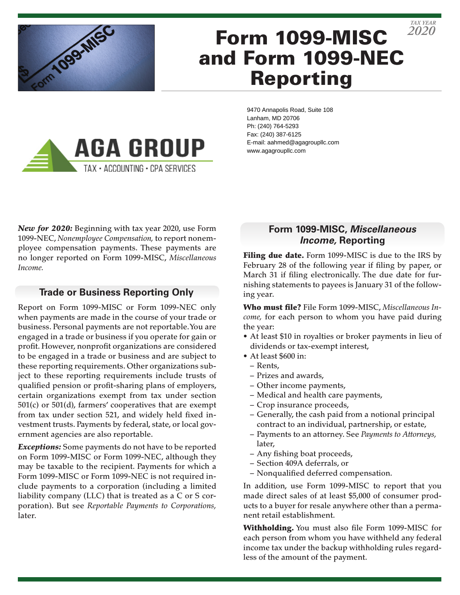

# Form 1099-MISC and Form 1099-NEC Reporting

**AGA GROUP** TAX · ACCOUNTING · CPA SERVICES

9470 Annapolis Road, Suite 108 Lanham, MD 20706 Ph: (240) 764-5293 Fax: (240) 387-6125 E-mail: aahmed@agagroupllc.com www.agagroupllc.com

*New for 2020:* Beginning with tax year 2020, use Form 1099-NEC, *Nonemployee Compensation,* to report nonemployee compensation payments. These payments are no longer reported on Form 1099-MISC, *Miscellaneous Income.*

## **Trade or Business Reporting Only**

Report on Form 1099-MISC or Form 1099-NEC only when payments are made in the course of your trade or business. Personal payments are not reportable. You are engaged in a trade or business if you operate for gain or profit. However, nonprofit organizations are considered to be engaged in a trade or business and are subject to these reporting requirements. Other organizations subject to these reporting requirements include trusts of qualified pension or profit-sharing plans of employers, certain organizations exempt from tax under section 501(c) or 501(d), farmers' cooperatives that are exempt from tax under section 521, and widely held fixed investment trusts. Payments by federal, state, or local government agencies are also reportable.

*Exceptions:* Some payments do not have to be reported on Form 1099-MISC or Form 1099-NEC, although they may be taxable to the recipient. Payments for which a Form 1099-MISC or Form 1099-NEC is not required include payments to a corporation (including a limited liability company (LLC) that is treated as a C or S corporation). But see *Reportable Payments to Corporations,* later.

# **Form 1099-MISC,** *Miscellaneous Income,* **Reporting**

Filing due date. Form 1099-MISC is due to the IRS by February 28 of the following year if filing by paper, or March 31 if filing electronically. The due date for furnishing statements to payees is January 31 of the following year.

Who must file? File Form 1099-MISC, *Miscellaneous Income,* for each person to whom you have paid during the year:

- At least \$10 in royalties or broker payments in lieu of dividends or tax-exempt interest,
- At least \$600 in:
	- Rents,
	- Prizes and awards,
	- Other income payments,
	- Medical and health care payments,
	- Crop insurance proceeds,
	- Generally, the cash paid from a notional principal contract to an individual, partnership, or estate,
	- Payments to an attorney. See *Payments to Attorneys,* later,
	- Any fishing boat proceeds,
	- Section 409A deferrals, or
	- Nonqualified deferred compensation.

In addition, use Form 1099-MISC to report that you made direct sales of at least \$5,000 of consumer products to a buyer for resale anywhere other than a permanent retail establishment.

Withholding. You must also file Form 1099-MISC for each person from whom you have withheld any federal income tax under the backup withholding rules regardless of the amount of the payment.

*2020 TAX YEAR*